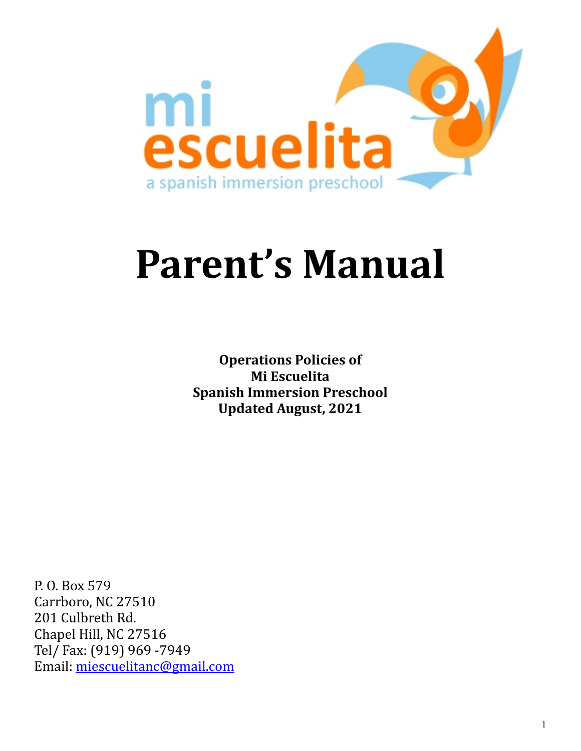

# Parent's Manual

**Operations Policies of Mi Escuelita Spanish Immersion Preschool Updated August, 2021**

P. O. Box 579 Carrboro, NC 27510 201 Culbreth Rd. Chapel Hill, NC 27516 Tel/ Fax: (919) 969 -7949 Email: [miescuelitanc@gmail.com](mailto:miescuelitanc@gmail.com)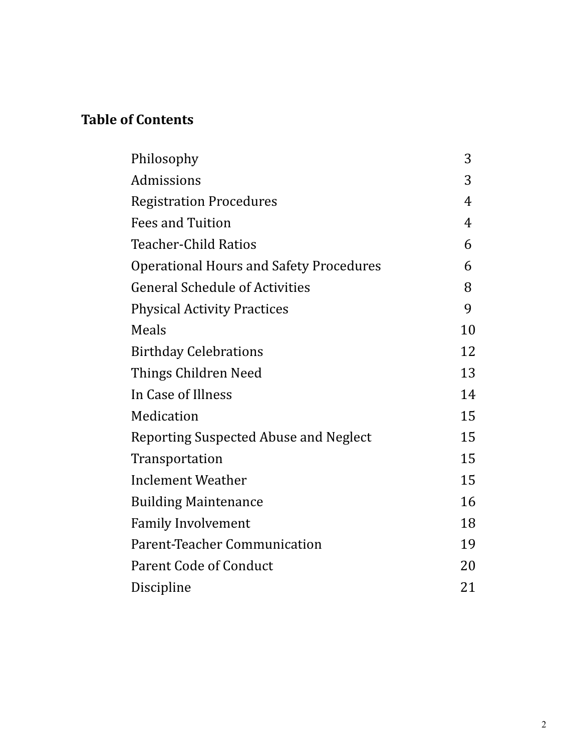# **Table of Contents**

| Philosophy                                     | 3  |
|------------------------------------------------|----|
| Admissions                                     | 3  |
| <b>Registration Procedures</b>                 | 4  |
| <b>Fees and Tuition</b>                        | 4  |
| <b>Teacher-Child Ratios</b>                    | 6  |
| <b>Operational Hours and Safety Procedures</b> | 6  |
| <b>General Schedule of Activities</b>          | 8  |
| <b>Physical Activity Practices</b>             | 9  |
| Meals                                          | 10 |
| <b>Birthday Celebrations</b>                   | 12 |
| Things Children Need                           | 13 |
| In Case of Illness                             | 14 |
| Medication                                     | 15 |
| Reporting Suspected Abuse and Neglect          | 15 |
| Transportation                                 | 15 |
| Inclement Weather                              | 15 |
| <b>Building Maintenance</b>                    | 16 |
| <b>Family Involvement</b>                      | 18 |
| Parent-Teacher Communication                   | 19 |
| <b>Parent Code of Conduct</b>                  | 20 |
| Discipline                                     | 21 |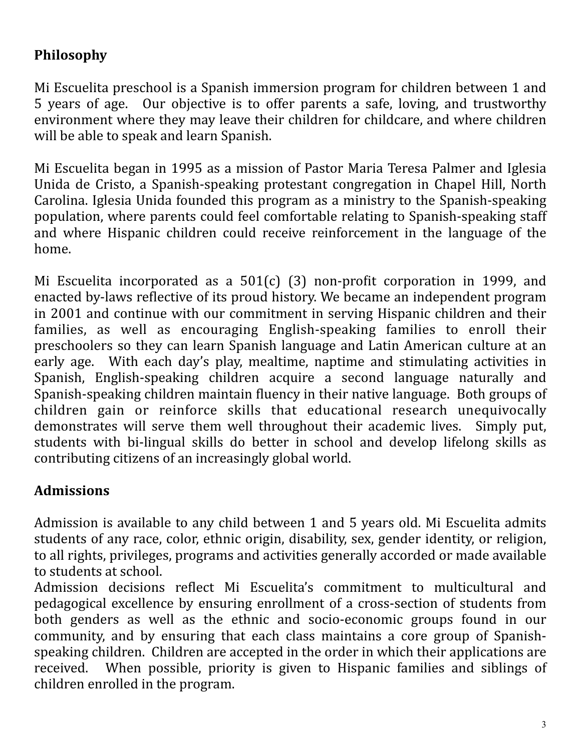## **Philosophy**

Mi Escuelita preschool is a Spanish immersion program for children between 1 and 5 years of age. Our objective is to offer parents a safe, loving, and trustworthy environment where they may leave their children for childcare, and where children will be able to speak and learn Spanish.

Mi Escuelita began in 1995 as a mission of Pastor Maria Teresa Palmer and Iglesia Unida de Cristo, a Spanish-speaking protestant congregation in Chapel Hill, North Carolina. Iglesia Unida founded this program as a ministry to the Spanish-speaking population, where parents could feel comfortable relating to Spanish-speaking staff and where Hispanic children could receive reinforcement in the language of the home. 

Mi Escuelita incorporated as a  $501(c)$  (3) non-profit corporation in 1999, and enacted by-laws reflective of its proud history. We became an independent program in 2001 and continue with our commitment in serving Hispanic children and their families, as well as encouraging English-speaking families to enroll their preschoolers so they can learn Spanish language and Latin American culture at an early age. With each day's play, mealtime, naptime and stimulating activities in Spanish, English-speaking children acquire a second language naturally and Spanish-speaking children maintain fluency in their native language. Both groups of children gain or reinforce skills that educational research unequivocally demonstrates will serve them well throughout their academic lives. Simply put, students with bi-lingual skills do better in school and develop lifelong skills as contributing citizens of an increasingly global world.

## **Admissions**

Admission is available to any child between 1 and 5 years old. Mi Escuelita admits students of any race, color, ethnic origin, disability, sex, gender identity, or religion, to all rights, privileges, programs and activities generally accorded or made available to students at school.

Admission decisions reflect Mi Escuelita's commitment to multicultural and pedagogical excellence by ensuring enrollment of a cross-section of students from both genders as well as the ethnic and socio-economic groups found in our community, and by ensuring that each class maintains a core group of Spanishspeaking children. Children are accepted in the order in which their applications are received. When possible, priority is given to Hispanic families and siblings of children enrolled in the program.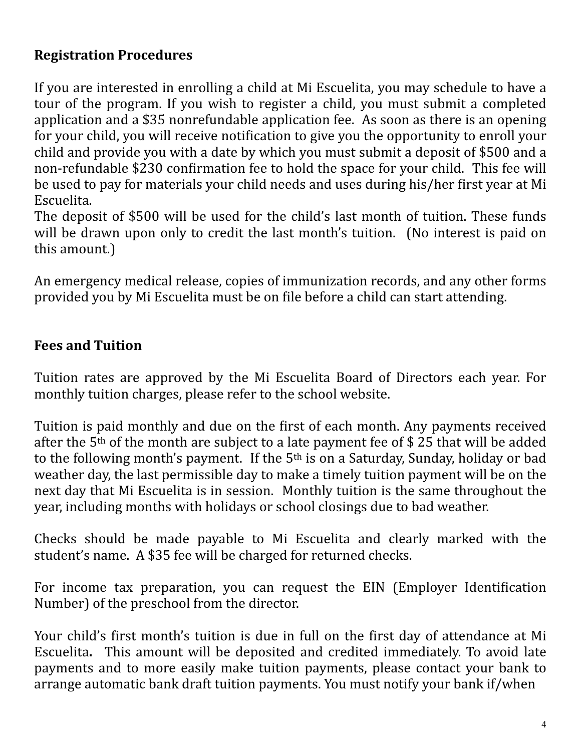#### **Registration Procedures**

If you are interested in enrolling a child at Mi Escuelita, you may schedule to have a tour of the program. If you wish to register a child, you must submit a completed application and a \$35 nonrefundable application fee. As soon as there is an opening for your child, you will receive notification to give you the opportunity to enroll your child and provide you with a date by which you must submit a deposit of \$500 and a non-refundable \$230 confirmation fee to hold the space for your child. This fee will be used to pay for materials your child needs and uses during his/her first year at Mi Escuelita.

The deposit of \$500 will be used for the child's last month of tuition. These funds will be drawn upon only to credit the last month's tuition. (No interest is paid on this amount.)

An emergency medical release, copies of immunization records, and any other forms provided you by Mi Escuelita must be on file before a child can start attending.

#### **Fees and Tuition**

Tuition rates are approved by the Mi Escuelita Board of Directors each year. For monthly tuition charges, please refer to the school website.

Tuition is paid monthly and due on the first of each month. Any payments received after the  $5<sup>th</sup>$  of the month are subject to a late payment fee of \$ 25 that will be added to the following month's payment. If the  $5<sup>th</sup>$  is on a Saturday, Sunday, holiday or bad weather day, the last permissible day to make a timely tuition payment will be on the next day that Mi Escuelita is in session. Monthly tuition is the same throughout the year, including months with holidays or school closings due to bad weather.

Checks should be made payable to Mi Escuelita and clearly marked with the student's name. A \$35 fee will be charged for returned checks.

For income tax preparation, you can request the EIN (Employer Identification Number) of the preschool from the director.

Your child's first month's tuition is due in full on the first day of attendance at Mi Escuelita. This amount will be deposited and credited immediately. To avoid late payments and to more easily make tuition payments, please contact your bank to arrange automatic bank draft tuition payments. You must notify your bank if/when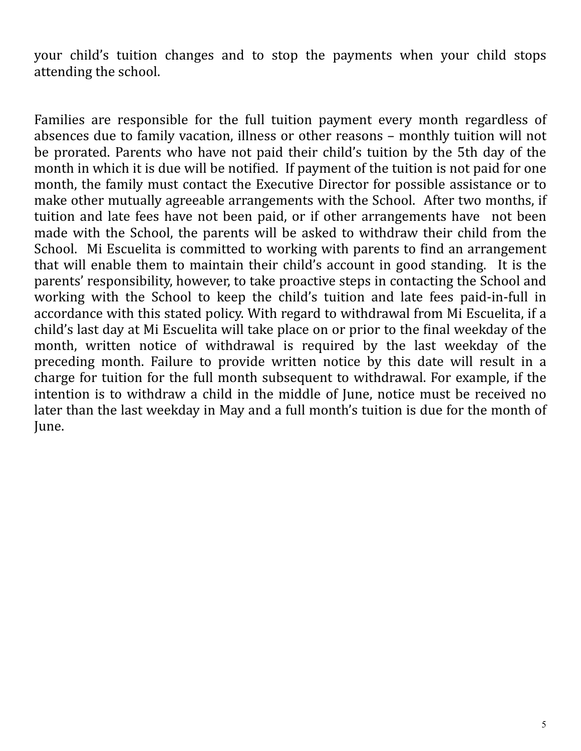your child's tuition changes and to stop the payments when your child stops attending the school.

Families are responsible for the full tuition payment every month regardless of absences due to family vacation, illness or other reasons – monthly tuition will not be prorated. Parents who have not paid their child's tuition by the 5th day of the month in which it is due will be notified. If payment of the tuition is not paid for one month, the family must contact the Executive Director for possible assistance or to make other mutually agreeable arrangements with the School. After two months, if tuition and late fees have not been paid, or if other arrangements have not been made with the School, the parents will be asked to withdraw their child from the School. Mi Escuelita is committed to working with parents to find an arrangement that will enable them to maintain their child's account in good standing. It is the parents' responsibility, however, to take proactive steps in contacting the School and working with the School to keep the child's tuition and late fees paid-in-full in accordance with this stated policy. With regard to withdrawal from Mi Escuelita, if a child's last day at Mi Escuelita will take place on or prior to the final weekday of the month, written notice of withdrawal is required by the last weekday of the preceding month. Failure to provide written notice by this date will result in a charge for tuition for the full month subsequent to withdrawal. For example, if the intention is to withdraw a child in the middle of June, notice must be received no later than the last weekday in May and a full month's tuition is due for the month of June.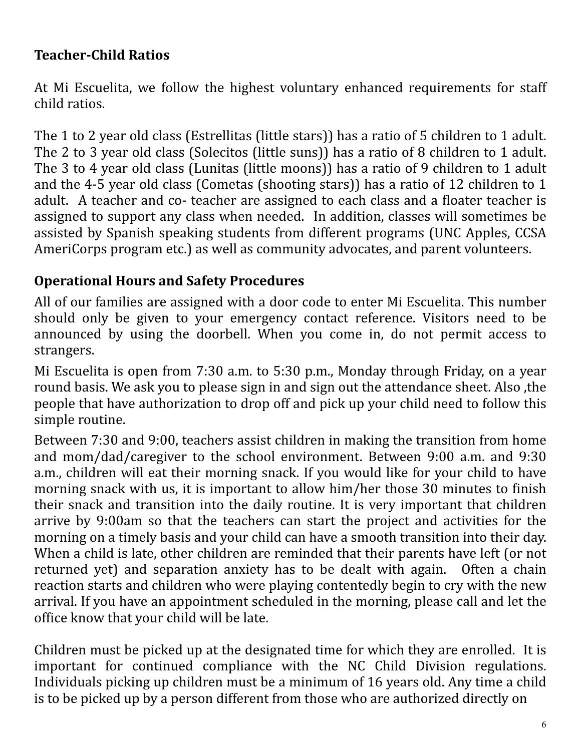#### **Teacher-Child Ratios**

At Mi Escuelita, we follow the highest voluntary enhanced requirements for staff child ratios.

The 1 to 2 year old class (Estrellitas (little stars)) has a ratio of 5 children to 1 adult. The 2 to 3 year old class (Solecitos (little suns)) has a ratio of 8 children to 1 adult. The 3 to 4 year old class (Lunitas (little moons)) has a ratio of 9 children to 1 adult and the 4-5 year old class (Cometas (shooting stars)) has a ratio of 12 children to 1 adult. A teacher and co- teacher are assigned to each class and a floater teacher is assigned to support any class when needed. In addition, classes will sometimes be assisted by Spanish speaking students from different programs (UNC Apples, CCSA AmeriCorps program etc.) as well as community advocates, and parent volunteers.

## **Operational Hours and Safety Procedures**

All of our families are assigned with a door code to enter Mi Escuelita. This number should only be given to your emergency contact reference. Visitors need to be announced by using the doorbell. When you come in, do not permit access to strangers. 

Mi Escuelita is open from  $7:30$  a.m. to  $5:30$  p.m., Monday through Friday, on a year round basis. We ask you to please sign in and sign out the attendance sheet. Also the people that have authorization to drop off and pick up your child need to follow this simple routine.

Between 7:30 and 9:00, teachers assist children in making the transition from home and mom/dad/caregiver to the school environment. Between  $9:00$  a.m. and  $9:30$ a.m., children will eat their morning snack. If you would like for your child to have morning snack with us, it is important to allow him/her those 30 minutes to finish their snack and transition into the daily routine. It is very important that children arrive by 9:00am so that the teachers can start the project and activities for the morning on a timely basis and your child can have a smooth transition into their day. When a child is late, other children are reminded that their parents have left (or not returned yet) and separation anxiety has to be dealt with again. Often a chain reaction starts and children who were playing contentedly begin to cry with the new arrival. If you have an appointment scheduled in the morning, please call and let the office know that your child will be late.

Children must be picked up at the designated time for which they are enrolled. It is important for continued compliance with the NC Child Division regulations. Individuals picking up children must be a minimum of 16 years old. Any time a child is to be picked up by a person different from those who are authorized directly on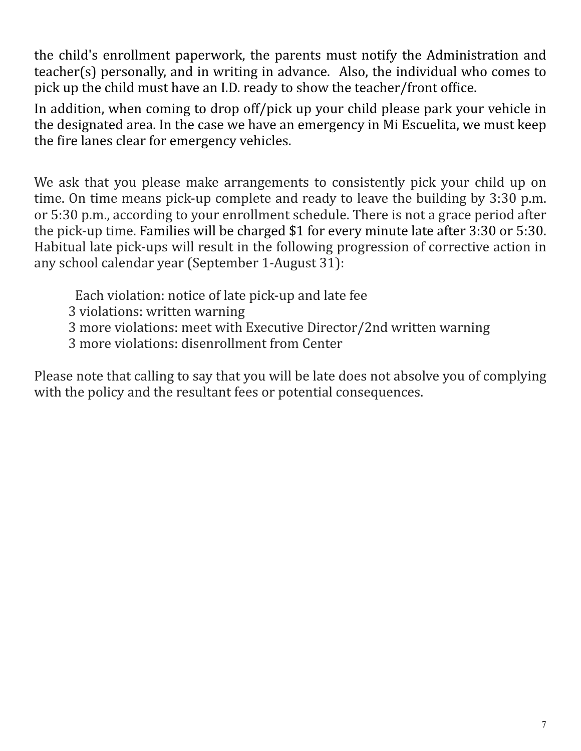the child's enrollment paperwork, the parents must notify the Administration and teacher(s) personally, and in writing in advance. Also, the individual who comes to pick up the child must have an I.D. ready to show the teacher/front office.

In addition, when coming to drop off/pick up your child please park your vehicle in the designated area. In the case we have an emergency in Mi Escuelita, we must keep the fire lanes clear for emergency vehicles.

We ask that you please make arrangements to consistently pick your child up on time. On time means pick-up complete and ready to leave the building by  $3:30$  p.m. or 5:30 p.m., according to your enrollment schedule. There is not a grace period after the pick-up time. Families will be charged \$1 for every minute late after 3:30 or 5:30. Habitual late pick-ups will result in the following progression of corrective action in any school calendar year (September 1-August 31):

- Each violation: notice of late pick-up and late fee
- 3 violations: written warning
- 3 more violations: meet with Executive Director/2nd written warning
- 3 more violations: disenrollment from Center

Please note that calling to say that you will be late does not absolve you of complying with the policy and the resultant fees or potential consequences.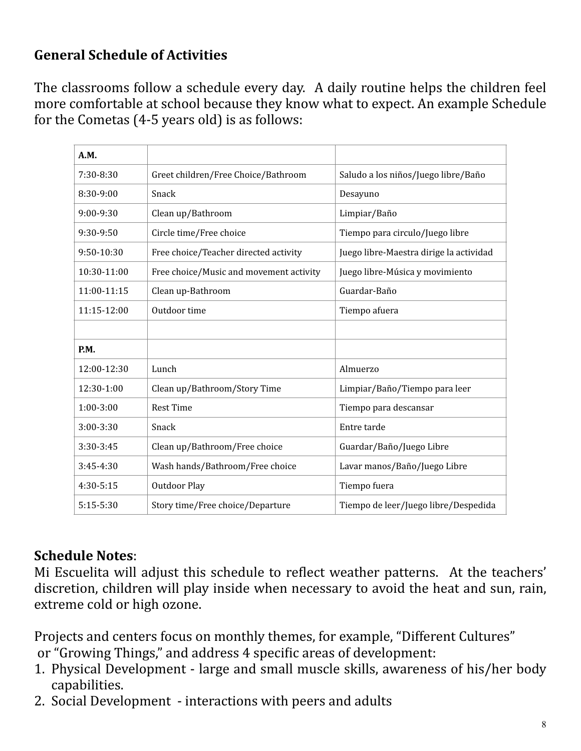## **General Schedule of Activities**

The classrooms follow a schedule every day. A daily routine helps the children feel more comfortable at school because they know what to expect. An example Schedule for the Cometas  $(4-5$  years old) is as follows:

| A.M.        |                                         |                                         |
|-------------|-----------------------------------------|-----------------------------------------|
| 7:30-8:30   | Greet children/Free Choice/Bathroom     | Saludo a los niños/Juego libre/Baño     |
| 8:30-9:00   | Snack                                   | Desayuno                                |
| 9:00-9:30   | Clean up/Bathroom                       | Limpiar/Baño                            |
| 9:30-9:50   | Circle time/Free choice                 | Tiempo para circulo/Juego libre         |
| 9:50-10:30  | Free choice/Teacher directed activity   | Juego libre-Maestra dirige la actividad |
| 10:30-11:00 | Free choice/Music and movement activity | Juego libre-Música y movimiento         |
| 11:00-11:15 | Clean up-Bathroom                       | Guardar-Baño                            |
| 11:15-12:00 | Outdoor time                            | Tiempo afuera                           |
|             |                                         |                                         |
| P.M.        |                                         |                                         |
| 12:00-12:30 | Lunch                                   | Almuerzo                                |
| 12:30-1:00  | Clean up/Bathroom/Story Time            | Limpiar/Baño/Tiempo para leer           |
| $1:00-3:00$ | <b>Rest Time</b>                        | Tiempo para descansar                   |
| 3:00-3:30   | Snack                                   | Entre tarde                             |
| 3:30-3:45   | Clean up/Bathroom/Free choice           | Guardar/Baño/Juego Libre                |
| 3:45-4:30   | Wash hands/Bathroom/Free choice         | Lavar manos/Baño/Juego Libre            |
| 4:30-5:15   | <b>Outdoor Play</b>                     | Tiempo fuera                            |
| $5:15-5:30$ | Story time/Free choice/Departure        | Tiempo de leer/Juego libre/Despedida    |

## **Schedule Notes:**

Mi Escuelita will adjust this schedule to reflect weather patterns. At the teachers' discretion, children will play inside when necessary to avoid the heat and sun, rain, extreme cold or high ozone.

Projects and centers focus on monthly themes, for example, "Different Cultures" or "Growing Things," and address 4 specific areas of development:

- 1. Physical Development large and small muscle skills, awareness of his/her body capabilities.
- 2. Social Development interactions with peers and adults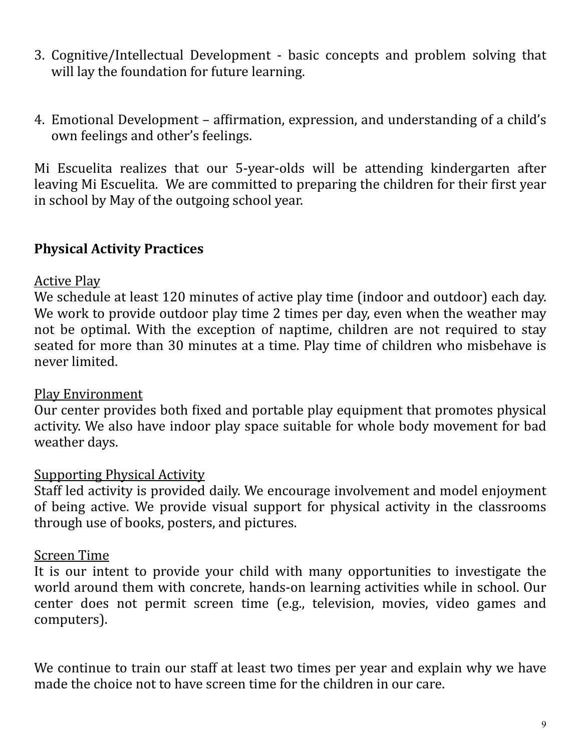- 3. Cognitive/Intellectual Development basic concepts and problem solving that will lay the foundation for future learning.
- 4. Emotional Development affirmation, expression, and understanding of a child's own feelings and other's feelings.

Mi Escuelita realizes that our 5-year-olds will be attending kindergarten after leaving Mi Escuelita. We are committed to preparing the children for their first year in school by May of the outgoing school year.

#### **Physical Activity Practices**

#### **Active Play**

We schedule at least 120 minutes of active play time (indoor and outdoor) each day. We work to provide outdoor play time 2 times per day, even when the weather may not be optimal. With the exception of naptime, children are not required to stay seated for more than 30 minutes at a time. Play time of children who misbehave is never limited.

#### Play Environment

Our center provides both fixed and portable play equipment that promotes physical activity. We also have indoor play space suitable for whole body movement for bad weather days.

#### Supporting Physical Activity

Staff led activity is provided daily. We encourage involvement and model enjoyment of being active. We provide visual support for physical activity in the classrooms through use of books, posters, and pictures.

#### Screen Time

It is our intent to provide your child with many opportunities to investigate the world around them with concrete, hands-on learning activities while in school. Our center does not permit screen time (e.g., television, movies, video games and computers).

We continue to train our staff at least two times per year and explain why we have made the choice not to have screen time for the children in our care.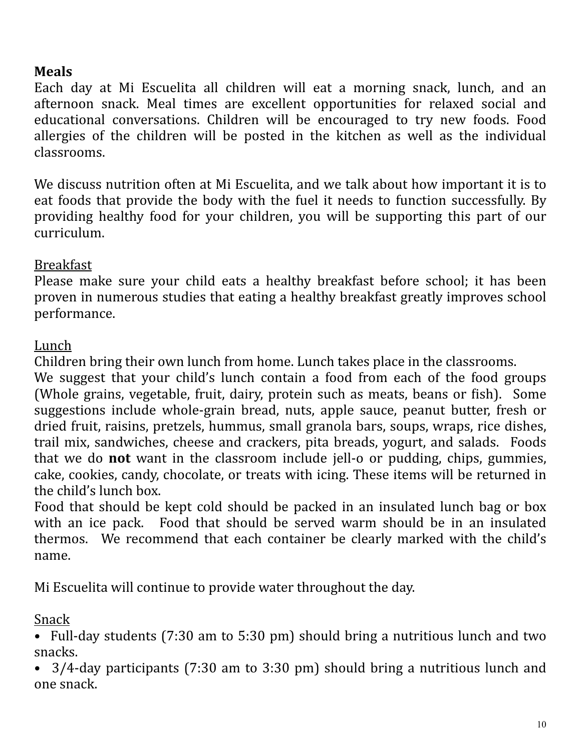#### **Meals**

Each day at Mi Escuelita all children will eat a morning snack, lunch, and an afternoon snack. Meal times are excellent opportunities for relaxed social and educational conversations. Children will be encouraged to try new foods. Food allergies of the children will be posted in the kitchen as well as the individual classrooms. 

We discuss nutrition often at Mi Escuelita, and we talk about how important it is to eat foods that provide the body with the fuel it needs to function successfully. By providing healthy food for your children, you will be supporting this part of our curriculum. 

#### Breakfast

Please make sure your child eats a healthy breakfast before school; it has been proven in numerous studies that eating a healthy breakfast greatly improves school performance.

#### Lunch

Children bring their own lunch from home. Lunch takes place in the classrooms.

We suggest that your child's lunch contain a food from each of the food groups (Whole grains, vegetable, fruit, dairy, protein such as meats, beans or fish). Some suggestions include whole-grain bread, nuts, apple sauce, peanut butter, fresh or dried fruit, raisins, pretzels, hummus, small granola bars, soups, wraps, rice dishes, trail mix, sandwiches, cheese and crackers, pita breads, yogurt, and salads. Foods that we do **not** want in the classroom include jell-o or pudding, chips, gummies, cake, cookies, candy, chocolate, or treats with icing. These items will be returned in the child's lunch box.

Food that should be kept cold should be packed in an insulated lunch bag or box with an ice pack. Food that should be served warm should be in an insulated thermos. We recommend that each container be clearly marked with the child's name.

Mi Escuelita will continue to provide water throughout the day.

#### Snack

• Full-day students (7:30 am to 5:30 pm) should bring a nutritious lunch and two snacks. 

 $3/4$ -day participants (7:30 am to 3:30 pm) should bring a nutritious lunch and one snack.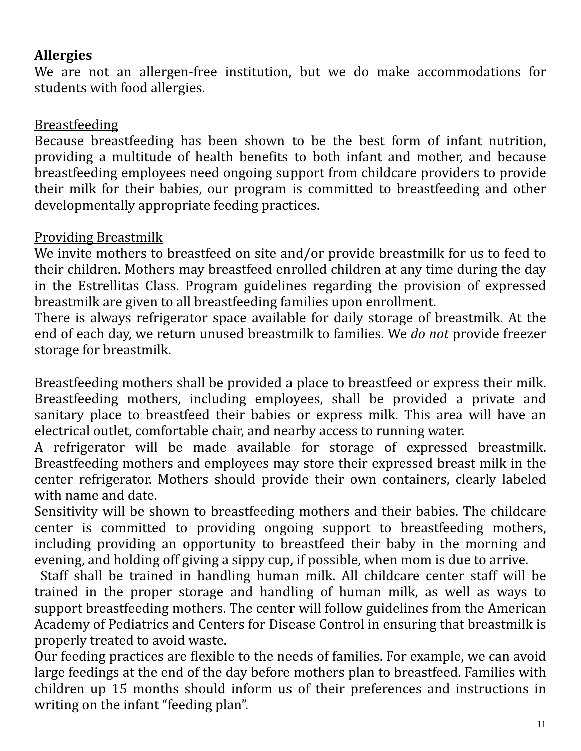#### **Allergies**

We are not an allergen-free institution, but we do make accommodations for students with food allergies.

#### Breastfeeding

Because breastfeeding has been shown to be the best form of infant nutrition, providing a multitude of health benefits to both infant and mother, and because breastfeeding employees need ongoing support from childcare providers to provide their milk for their babies, our program is committed to breastfeeding and other developmentally appropriate feeding practices.

#### Providing Breastmilk

We invite mothers to breastfeed on site and/or provide breastmilk for us to feed to their children. Mothers may breastfeed enrolled children at any time during the day in the Estrellitas Class. Program guidelines regarding the provision of expressed breastmilk are given to all breastfeeding families upon enrollment.

There is always refrigerator space available for daily storage of breastmilk. At the end of each day, we return unused breastmilk to families. We *do not* provide freezer storage for breastmilk.

Breastfeeding mothers shall be provided a place to breastfeed or express their milk. Breastfeeding mothers, including employees, shall be provided a private and sanitary place to breastfeed their babies or express milk. This area will have an electrical outlet, comfortable chair, and nearby access to running water.

A refrigerator will be made available for storage of expressed breastmilk. Breastfeeding mothers and employees may store their expressed breast milk in the center refrigerator. Mothers should provide their own containers, clearly labeled with name and date.

Sensitivity will be shown to breastfeeding mothers and their babies. The childcare center is committed to providing ongoing support to breastfeeding mothers, including providing an opportunity to breastfeed their baby in the morning and evening, and holding off giving a sippy cup, if possible, when mom is due to arrive.

Staff shall be trained in handling human milk. All childcare center staff will be trained in the proper storage and handling of human milk, as well as ways to support breastfeeding mothers. The center will follow guidelines from the American Academy of Pediatrics and Centers for Disease Control in ensuring that breastmilk is properly treated to avoid waste.

Our feeding practices are flexible to the needs of families. For example, we can avoid large feedings at the end of the day before mothers plan to breastfeed. Families with children up 15 months should inform us of their preferences and instructions in writing on the infant "feeding plan".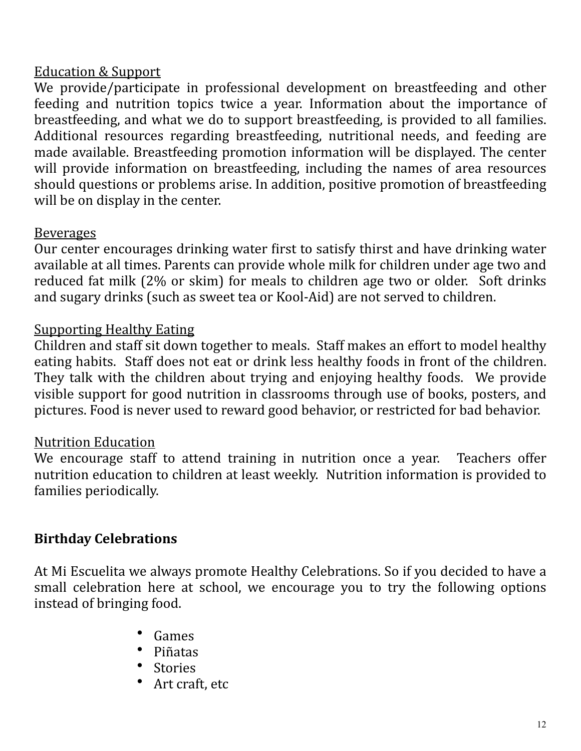#### **Education & Support**

We provide/participate in professional development on breastfeeding and other feeding and nutrition topics twice a year. Information about the importance of breastfeeding, and what we do to support breastfeeding, is provided to all families. Additional resources regarding breastfeeding, nutritional needs, and feeding are made available. Breastfeeding promotion information will be displayed. The center will provide information on breastfeeding, including the names of area resources should questions or problems arise. In addition, positive promotion of breastfeeding will be on display in the center.

#### Beverages

Our center encourages drinking water first to satisfy thirst and have drinking water available at all times. Parents can provide whole milk for children under age two and reduced fat milk (2% or skim) for meals to children age two or older. Soft drinks and sugary drinks (such as sweet tea or Kool-Aid) are not served to children.

#### Supporting Healthy Eating

Children and staff sit down together to meals. Staff makes an effort to model healthy eating habits. Staff does not eat or drink less healthy foods in front of the children. They talk with the children about trying and enjoying healthy foods. We provide visible support for good nutrition in classrooms through use of books, posters, and pictures. Food is never used to reward good behavior, or restricted for bad behavior.

#### Nutrition Education

We encourage staff to attend training in nutrition once a year. Teachers offer nutrition education to children at least weekly. Nutrition information is provided to families periodically.

#### **Birthday Celebrations**

At Mi Escuelita we always promote Healthy Celebrations. So if you decided to have a small celebration here at school, we encourage you to try the following options instead of bringing food.

- Games
- Piñatas
- **Stories**
- Art craft, etc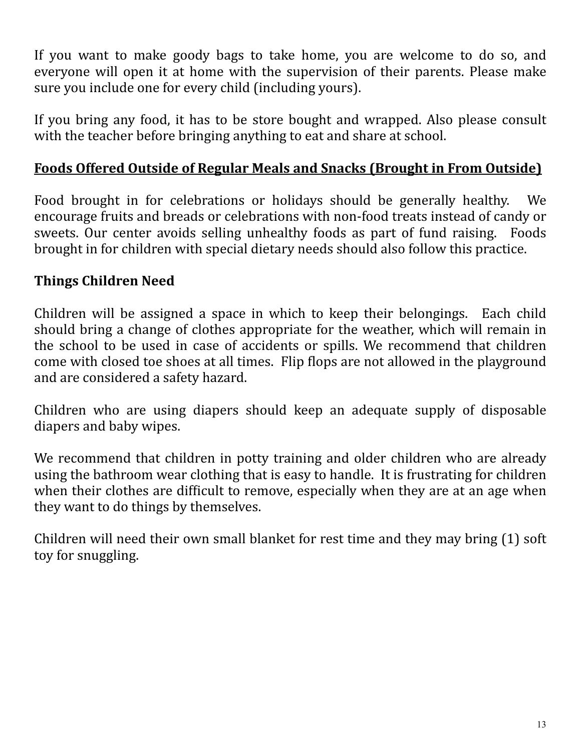If you want to make goody bags to take home, you are welcome to do so, and everyone will open it at home with the supervision of their parents. Please make sure you include one for every child (including yours).

If you bring any food, it has to be store bought and wrapped. Also please consult with the teacher before bringing anything to eat and share at school.

#### Foods Offered Outside of Regular Meals and Snacks (Brought in From Outside)

Food brought in for celebrations or holidays should be generally healthy. We encourage fruits and breads or celebrations with non-food treats instead of candy or sweets. Our center avoids selling unhealthy foods as part of fund raising. Foods brought in for children with special dietary needs should also follow this practice.

## **Things Children Need**

Children will be assigned a space in which to keep their belongings. Each child should bring a change of clothes appropriate for the weather, which will remain in the school to be used in case of accidents or spills. We recommend that children come with closed toe shoes at all times. Flip flops are not allowed in the playground and are considered a safety hazard.

Children who are using diapers should keep an adequate supply of disposable diapers and baby wipes.

We recommend that children in potty training and older children who are already using the bathroom wear clothing that is easy to handle. It is frustrating for children when their clothes are difficult to remove, especially when they are at an age when they want to do things by themselves.

Children will need their own small blanket for rest time and they may bring  $(1)$  soft toy for snuggling.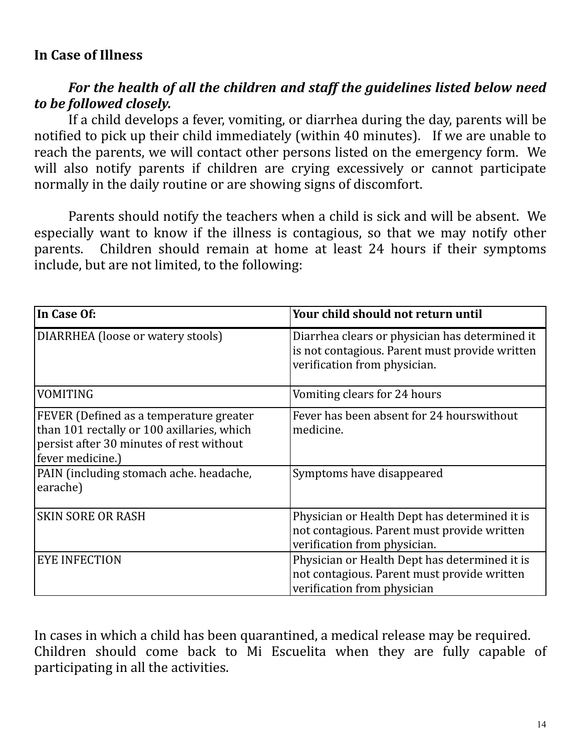#### For the health of all the children and staff the guidelines listed below need *to be followed closely.*

If a child develops a fever, vomiting, or diarrhea during the day, parents will be notified to pick up their child immediately (within 40 minutes). If we are unable to reach the parents, we will contact other persons listed on the emergency form. We will also notify parents if children are crying excessively or cannot participate normally in the daily routine or are showing signs of discomfort.

Parents should notify the teachers when a child is sick and will be absent. We especially want to know if the illness is contagious, so that we may notify other parents. Children should remain at home at least 24 hours if their symptoms include, but are not limited, to the following:

| In Case Of:                                                                                                                                           | Your child should not return until                                                                                               |
|-------------------------------------------------------------------------------------------------------------------------------------------------------|----------------------------------------------------------------------------------------------------------------------------------|
| DIARRHEA (loose or watery stools)                                                                                                                     | Diarrhea clears or physician has determined it<br>is not contagious. Parent must provide written<br>verification from physician. |
| <b>VOMITING</b>                                                                                                                                       | Vomiting clears for 24 hours                                                                                                     |
| FEVER (Defined as a temperature greater<br>than 101 rectally or 100 axillaries, which<br>persist after 30 minutes of rest without<br>fever medicine.) | Fever has been absent for 24 hours without<br>medicine.                                                                          |
| PAIN (including stomach ache. headache,<br>earache)                                                                                                   | Symptoms have disappeared                                                                                                        |
| <b>SKIN SORE OR RASH</b>                                                                                                                              | Physician or Health Dept has determined it is<br>not contagious. Parent must provide written<br>verification from physician.     |
| <b>EYE INFECTION</b>                                                                                                                                  | Physician or Health Dept has determined it is<br>not contagious. Parent must provide written<br>verification from physician      |

In cases in which a child has been quarantined, a medical release may be required. Children should come back to Mi Escuelita when they are fully capable of participating in all the activities.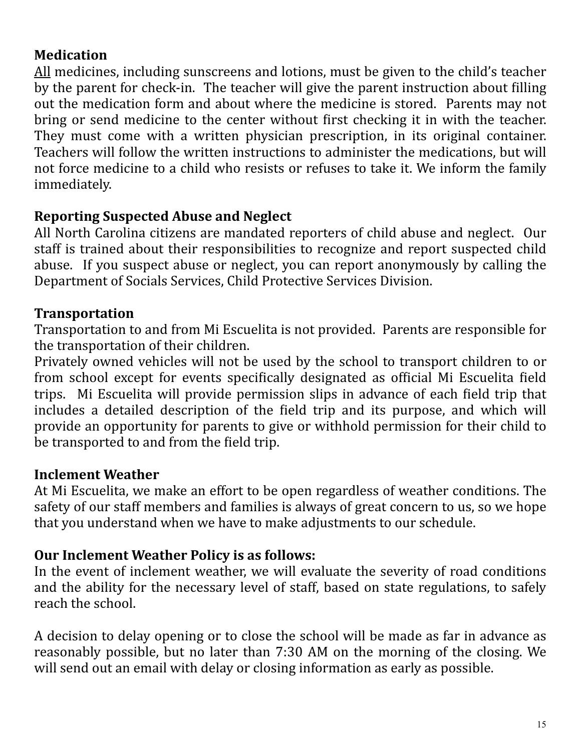#### **Medication**

All medicines, including sunscreens and lotions, must be given to the child's teacher by the parent for check-in. The teacher will give the parent instruction about filling out the medication form and about where the medicine is stored. Parents may not bring or send medicine to the center without first checking it in with the teacher. They must come with a written physician prescription, in its original container. Teachers will follow the written instructions to administer the medications, but will not force medicine to a child who resists or refuses to take it. We inform the family immediately. 

#### **Reporting Suspected Abuse and Neglect**

All North Carolina citizens are mandated reporters of child abuse and neglect. Our staff is trained about their responsibilities to recognize and report suspected child abuse. If you suspect abuse or neglect, you can report anonymously by calling the Department of Socials Services, Child Protective Services Division.

#### **Transportation**

Transportation to and from Mi Escuelita is not provided. Parents are responsible for the transportation of their children.

Privately owned vehicles will not be used by the school to transport children to or from school except for events specifically designated as official Mi Escuelita field trips. Mi Escuelita will provide permission slips in advance of each field trip that includes a detailed description of the field trip and its purpose, and which will provide an opportunity for parents to give or withhold permission for their child to be transported to and from the field trip.

#### **Inclement Weather**

At Mi Escuelita, we make an effort to be open regardless of weather conditions. The safety of our staff members and families is always of great concern to us, so we hope that you understand when we have to make adjustments to our schedule.

#### **Our Inclement Weather Policy is as follows:**

In the event of inclement weather, we will evaluate the severity of road conditions and the ability for the necessary level of staff, based on state regulations, to safely reach the school.

A decision to delay opening or to close the school will be made as far in advance as reasonably possible, but no later than 7:30 AM on the morning of the closing. We will send out an email with delay or closing information as early as possible.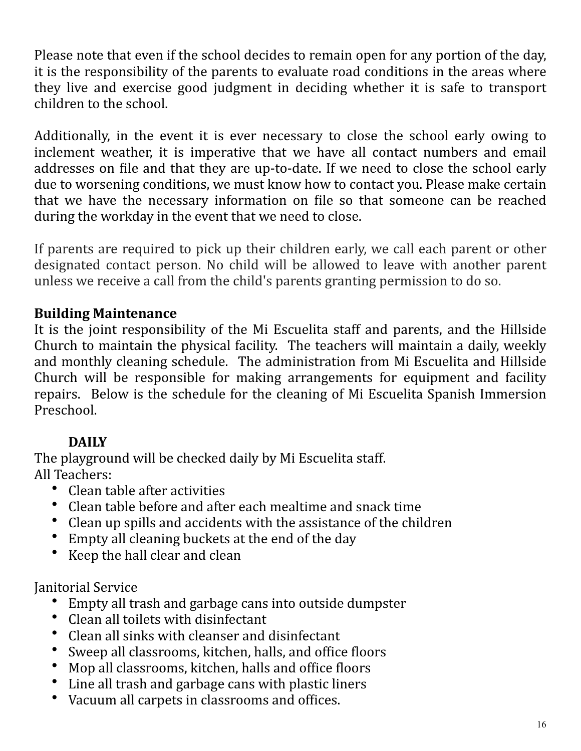Please note that even if the school decides to remain open for any portion of the day, it is the responsibility of the parents to evaluate road conditions in the areas where they live and exercise good judgment in deciding whether it is safe to transport children to the school.

Additionally, in the event it is ever necessary to close the school early owing to inclement weather, it is imperative that we have all contact numbers and email addresses on file and that they are up-to-date. If we need to close the school early due to worsening conditions, we must know how to contact you. Please make certain that we have the necessary information on file so that someone can be reached during the workday in the event that we need to close.

If parents are required to pick up their children early, we call each parent or other designated contact person. No child will be allowed to leave with another parent unless we receive a call from the child's parents granting permission to do so.

## **Building Maintenance**

It is the joint responsibility of the Mi Escuelita staff and parents, and the Hillside Church to maintain the physical facility. The teachers will maintain a daily, weekly and monthly cleaning schedule. The administration from Mi Escuelita and Hillside Church will be responsible for making arrangements for equipment and facility repairs. Below is the schedule for the cleaning of Mi Escuelita Spanish Immersion Preschool.

## **DAILY**

The playground will be checked daily by Mi Escuelita staff. All Teachers:

- Clean table after activities
- Clean table before and after each mealtime and snack time
- Clean up spills and accidents with the assistance of the children
- Empty all cleaning buckets at the end of the day
- Keep the hall clear and clean

**Janitorial Service** 

- Empty all trash and garbage cans into outside dumpster
- Clean all toilets with disinfectant
- Clean all sinks with cleanser and disinfectant
- Sweep all classrooms, kitchen, halls, and office floors
- Mop all classrooms, kitchen, halls and office floors
- Line all trash and garbage cans with plastic liners
- Vacuum all carpets in classrooms and offices.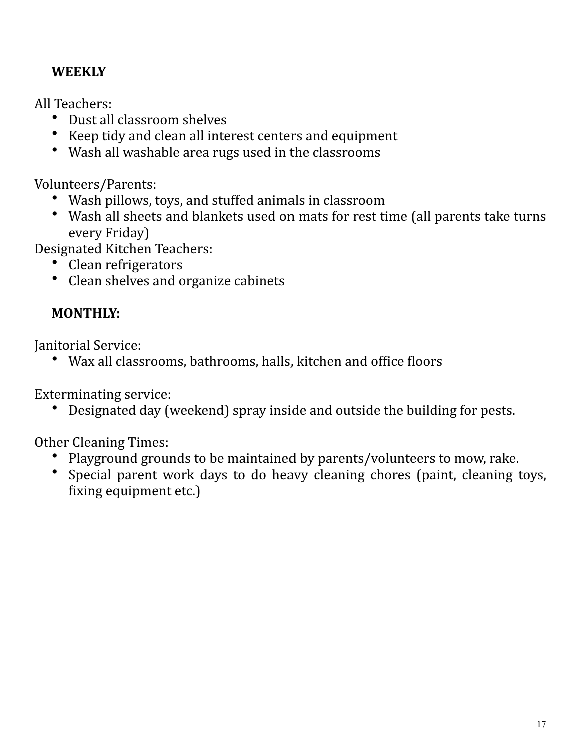## **WEEKLY**

All Teachers:

- Dust all classroom shelves
- Keep tidy and clean all interest centers and equipment
- Wash all washable area rugs used in the classrooms

Volunteers/Parents:

- Wash pillows, toys, and stuffed animals in classroom
- Wash all sheets and blankets used on mats for rest time (all parents take turns every Friday)

Designated Kitchen Teachers:

- Clean refrigerators
- Clean shelves and organize cabinets

# **MONTHLY:**

Janitorial Service:

• Wax all classrooms, bathrooms, halls, kitchen and office floors

Exterminating service:

• Designated day (weekend) spray inside and outside the building for pests.

Other Cleaning Times:

- Playground grounds to be maintained by parents/volunteers to mow, rake.
- Special parent work days to do heavy cleaning chores (paint, cleaning toys, fixing equipment etc.)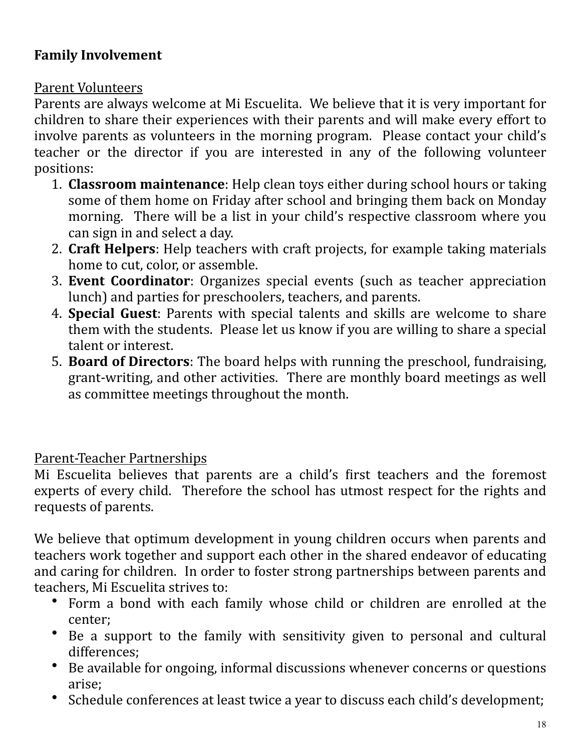#### **Family Involvement**

#### Parent Volunteers

Parents are always welcome at Mi Escuelita. We believe that it is very important for children to share their experiences with their parents and will make every effort to involve parents as volunteers in the morning program. Please contact your child's teacher or the director if you are interested in any of the following volunteer positions:

- 1. **Classroom maintenance**: Help clean toys either during school hours or taking some of them home on Friday after school and bringing them back on Monday morning. There will be a list in your child's respective classroom where you can sign in and select a day.
- 2. **Craft Helpers**: Help teachers with craft projects, for example taking materials home to cut, color, or assemble.
- 3. **Event Coordinator**: Organizes special events (such as teacher appreciation lunch) and parties for preschoolers, teachers, and parents.
- 4. **Special Guest**: Parents with special talents and skills are welcome to share them with the students. Please let us know if you are willing to share a special talent or interest.
- 5. **Board of Directors**: The board helps with running the preschool, fundraising, grant-writing, and other activities. There are monthly board meetings as well as committee meetings throughout the month.

#### Parent-Teacher Partnerships

Mi Escuelita believes that parents are a child's first teachers and the foremost experts of every child. Therefore the school has utmost respect for the rights and requests of parents.

We believe that optimum development in young children occurs when parents and teachers work together and support each other in the shared endeavor of educating and caring for children. In order to foster strong partnerships between parents and teachers, Mi Escuelita strives to:

- Form a bond with each family whose child or children are enrolled at the center;
- Be a support to the family with sensitivity given to personal and cultural differences;
- Be available for ongoing, informal discussions whenever concerns or questions arise;
- Schedule conferences at least twice a year to discuss each child's development;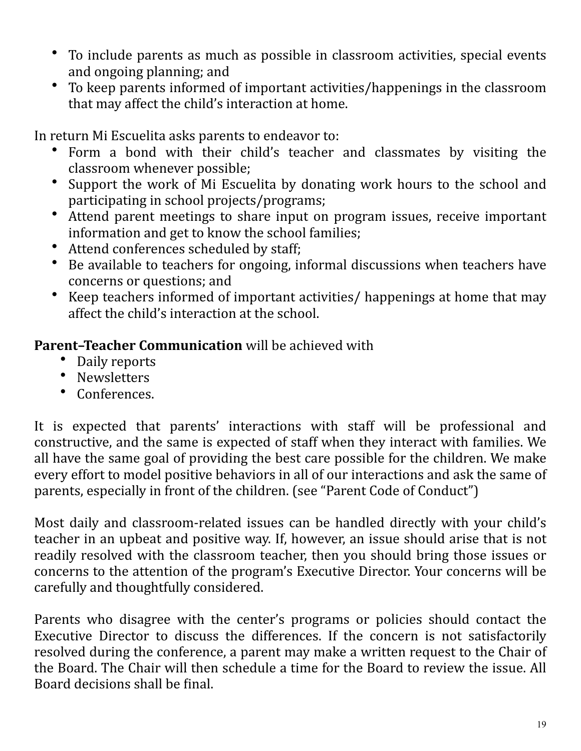- To include parents as much as possible in classroom activities, special events and ongoing planning; and
- To keep parents informed of important activities/happenings in the classroom that may affect the child's interaction at home.

In return Mi Escuelita asks parents to endeavor to:

- Form a bond with their child's teacher and classmates by visiting the classroom whenever possible;
- Support the work of Mi Escuelita by donating work hours to the school and participating in school projects/programs;
- Attend parent meetings to share input on program issues, receive important information and get to know the school families;
- Attend conferences scheduled by staff;
- Be available to teachers for ongoing, informal discussions when teachers have concerns or questions; and
- Keep teachers informed of important activities/ happenings at home that may affect the child's interaction at the school.

**Parent-Teacher Communication** will be achieved with

- Daily reports
- Newsletters
- Conferences.

It is expected that parents' interactions with staff will be professional and constructive, and the same is expected of staff when they interact with families. We all have the same goal of providing the best care possible for the children. We make every effort to model positive behaviors in all of our interactions and ask the same of parents, especially in front of the children. (see "Parent Code of Conduct")

Most daily and classroom-related issues can be handled directly with your child's teacher in an upbeat and positive way. If, however, an issue should arise that is not readily resolved with the classroom teacher, then you should bring those issues or concerns to the attention of the program's Executive Director. Your concerns will be carefully and thoughtfully considered.

Parents who disagree with the center's programs or policies should contact the Executive Director to discuss the differences. If the concern is not satisfactorily resolved during the conference, a parent may make a written request to the Chair of the Board. The Chair will then schedule a time for the Board to review the issue. All Board decisions shall be final.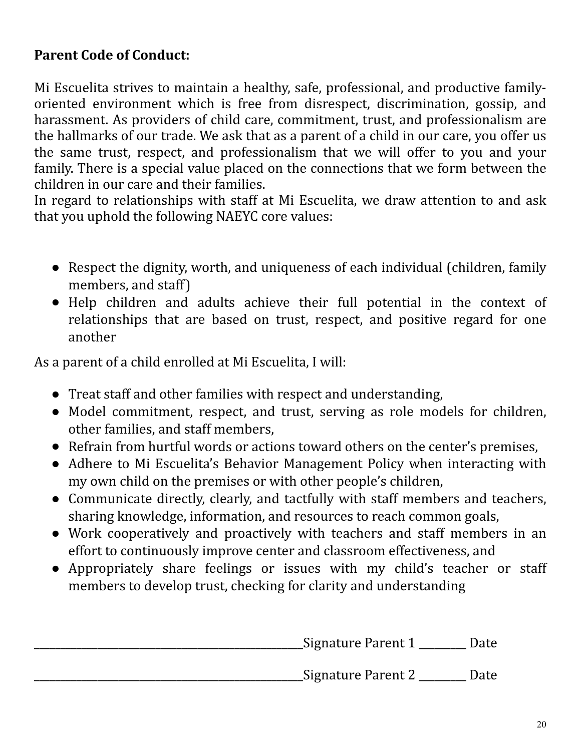#### **Parent Code of Conduct:**

Mi Escuelita strives to maintain a healthy, safe, professional, and productive familyoriented environment which is free from disrespect, discrimination, gossip, and harassment. As providers of child care, commitment, trust, and professionalism are the hallmarks of our trade. We ask that as a parent of a child in our care, you offer us the same trust, respect, and professionalism that we will offer to you and your family. There is a special value placed on the connections that we form between the children in our care and their families.

In regard to relationships with staff at Mi Escuelita, we draw attention to and ask that you uphold the following NAEYC core values:

- Respect the dignity, worth, and uniqueness of each individual (children, family members, and staff)
- Help children and adults achieve their full potential in the context of relationships that are based on trust, respect, and positive regard for one another

As a parent of a child enrolled at Mi Escuelita, I will:

- Treat staff and other families with respect and understanding,
- Model commitment, respect, and trust, serving as role models for children, other families, and staff members.
- Refrain from hurtful words or actions toward others on the center's premises,
- Adhere to Mi Escuelita's Behavior Management Policy when interacting with my own child on the premises or with other people's children,
- Communicate directly, clearly, and tactfully with staff members and teachers, sharing knowledge, information, and resources to reach common goals,
- Work cooperatively and proactively with teachers and staff members in an effort to continuously improve center and classroom effectiveness, and
- Appropriately share feelings or issues with my child's teacher or staff members to develop trust, checking for clarity and understanding

| Signature Parent 1  | Date |
|---------------------|------|
| _Signature Parent 2 | Date |